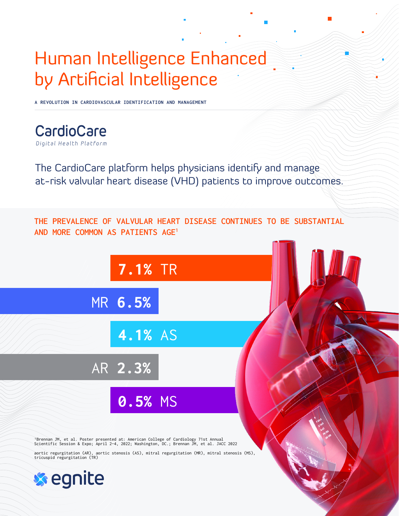## Human Intelligence Enhanced by Artificial Intelligence

**A REVOLUTION IN CARDIOVASCULAR IDENTIFICATION AND MANAGEMENT**

CardioCare Digital Health Platform

The CardioCare platform helps physicians identify and manage at-risk valvular heart disease (VHD) patients to improve outcomes.



1Brennan JM, et al. Poster presented at: American College of Cardiology 71st Annual Scientific Session & Expo; April 2–4, 2022; Washington, DC.; Brennan JM, et al. JACC 2022

aortic regurgitation (AR), aortic stenosis (AS), mitral regurgitation (MR), mitral stenosis (MS), tricuspid regurgitation (TR)